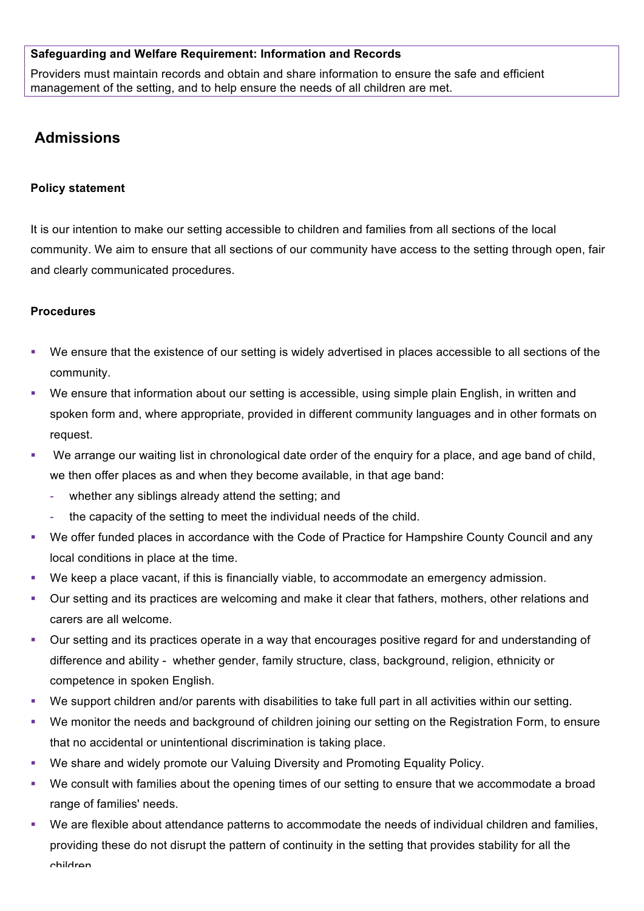#### **Safeguarding and Welfare Requirement: Information and Records**

Providers must maintain records and obtain and share information to ensure the safe and efficient management of the setting, and to help ensure the needs of all children are met.

# **Admissions**

#### **Policy statement**

It is our intention to make our setting accessible to children and families from all sections of the local community. We aim to ensure that all sections of our community have access to the setting through open, fair and clearly communicated procedures.

### **Procedures**

- We ensure that the existence of our setting is widely advertised in places accessible to all sections of the community.
- We ensure that information about our setting is accessible, using simple plain English, in written and spoken form and, where appropriate, provided in different community languages and in other formats on request.
- We arrange our waiting list in chronological date order of the enquiry for a place, and age band of child, we then offer places as and when they become available, in that age band:
	- whether any siblings already attend the setting; and
	- the capacity of the setting to meet the individual needs of the child.
- § We offer funded places in accordance with the Code of Practice for Hampshire County Council and any local conditions in place at the time.
- § We keep a place vacant, if this is financially viable, to accommodate an emergency admission.
- § Our setting and its practices are welcoming and make it clear that fathers, mothers, other relations and carers are all welcome.
- § Our setting and its practices operate in a way that encourages positive regard for and understanding of difference and ability - whether gender, family structure, class, background, religion, ethnicity or competence in spoken English.
- We support children and/or parents with disabilities to take full part in all activities within our setting.
- § We monitor the needs and background of children joining our setting on the Registration Form, to ensure that no accidental or unintentional discrimination is taking place.
- We share and widely promote our Valuing Diversity and Promoting Equality Policy.
- We consult with families about the opening times of our setting to ensure that we accommodate a broad range of families' needs.
- § We are flexible about attendance patterns to accommodate the needs of individual children and families, providing these do not disrupt the pattern of continuity in the setting that provides stability for all the children.